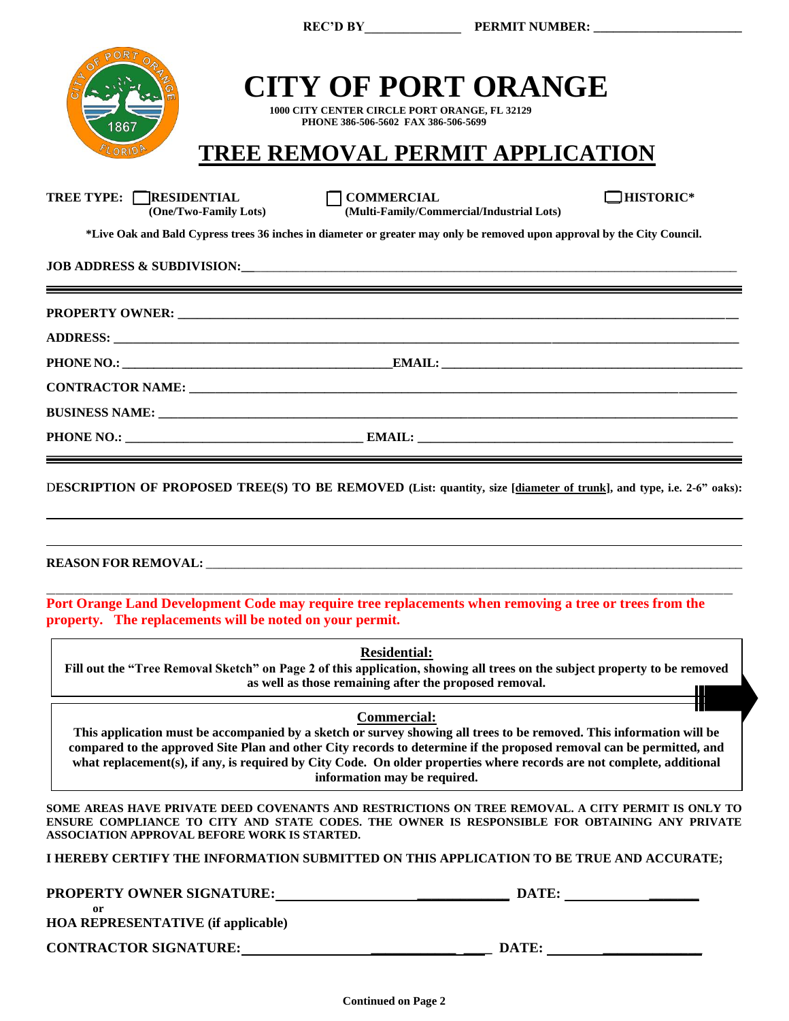| <b>CITY OF PORT ORANGE</b><br>1000 CITY CENTER CIRCLE PORT ORANGE, FL 32129<br>PHONE 386-506-5602 FAX 386-506-5699<br>867<br><b>TREE REMOVAL PERMIT APPLICATION</b><br>ELORIDA                                                                                                                                                                                                                                              |
|-----------------------------------------------------------------------------------------------------------------------------------------------------------------------------------------------------------------------------------------------------------------------------------------------------------------------------------------------------------------------------------------------------------------------------|
| $\Box$ <b>HISTORIC*</b><br>TREE TYPE: RESIDENTIAL<br><b>COMMERCIAL</b><br>(Multi-Family/Commercial/Industrial Lots)<br>(One/Two-Family Lots)                                                                                                                                                                                                                                                                                |
| *Live Oak and Bald Cypress trees 36 inches in diameter or greater may only be removed upon approval by the City Council.                                                                                                                                                                                                                                                                                                    |
| JOB ADDRESS & SUBDIVISION: <b>And All Andrew Property Address &amp; SUBDIVISION:</b>                                                                                                                                                                                                                                                                                                                                        |
|                                                                                                                                                                                                                                                                                                                                                                                                                             |
|                                                                                                                                                                                                                                                                                                                                                                                                                             |
|                                                                                                                                                                                                                                                                                                                                                                                                                             |
|                                                                                                                                                                                                                                                                                                                                                                                                                             |
|                                                                                                                                                                                                                                                                                                                                                                                                                             |
|                                                                                                                                                                                                                                                                                                                                                                                                                             |
| DESCRIPTION OF PROPOSED TREE(S) TO BE REMOVED (List: quantity, size [diameter of trunk], and type, i.e. 2-6" oaks):                                                                                                                                                                                                                                                                                                         |
|                                                                                                                                                                                                                                                                                                                                                                                                                             |
| Port Orange Land Development Code may require tree replacements when removing a tree or trees from the<br>property. The replacements will be noted on your permit.                                                                                                                                                                                                                                                          |
| <b>Residential:</b><br>Fill out the "Tree Removal Sketch" on Page 2 of this application, showing all trees on the subject property to be removed<br>as well as those remaining after the proposed removal.                                                                                                                                                                                                                  |
| <b>Commercial:</b><br>This application must be accompanied by a sketch or survey showing all trees to be removed. This information will be<br>compared to the approved Site Plan and other City records to determine if the proposed removal can be permitted, and<br>what replacement(s), if any, is required by City Code. On older properties where records are not complete, additional<br>information may be required. |
| SOME AREAS HAVE PRIVATE DEED COVENANTS AND RESTRICTIONS ON TREE REMOVAL. A CITY PERMIT IS ONLY TO<br>ENSURE COMPLIANCE TO CITY AND STATE CODES. THE OWNER IS RESPONSIBLE FOR OBTAINING ANY PRIVATE<br>ASSOCIATION APPROVAL BEFORE WORK IS STARTED.                                                                                                                                                                          |
| I HEREBY CERTIFY THE INFORMATION SUBMITTED ON THIS APPLICATION TO BE TRUE AND ACCURATE;                                                                                                                                                                                                                                                                                                                                     |
| PROPERTY OWNER SIGNATURE: DATE:<br>or                                                                                                                                                                                                                                                                                                                                                                                       |

**HOA REPRESENTATIVE (if applicable)**

**CONTRACTOR SIGNATURE: \_\_\_\_\_\_\_\_\_\_\_\_ \_\_\_\_ DATE: \_\_\_\_\_\_\_\_\_\_\_\_\_\_**

**REC'D BY\_\_\_\_\_\_\_\_\_\_\_\_\_\_\_ PERMIT NUMBER: \_\_\_\_\_\_\_\_\_\_\_\_\_\_\_\_\_\_\_\_\_\_\_**